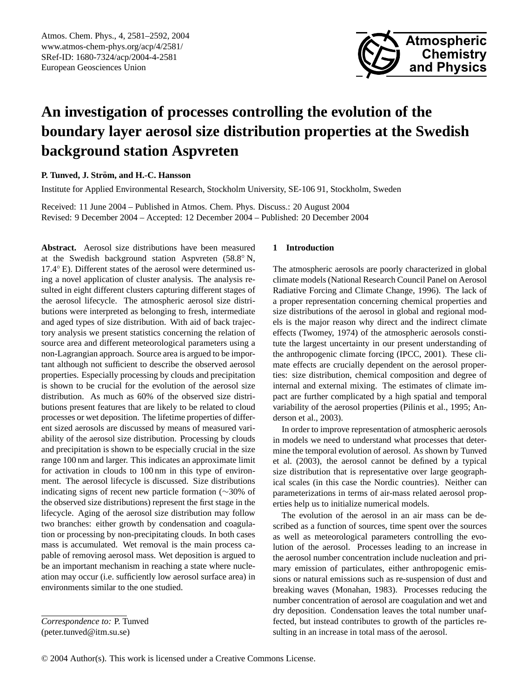

# **An investigation of processes controlling the evolution of the boundary layer aerosol size distribution properties at the Swedish background station Aspvreten**

**P. Tunved, J. Ström, and H.-C. Hansson** 

Institute for Applied Environmental Research, Stockholm University, SE-106 91, Stockholm, Sweden

Received: 11 June 2004 – Published in Atmos. Chem. Phys. Discuss.: 20 August 2004 Revised: 9 December 2004 – Accepted: 12 December 2004 – Published: 20 December 2004

**Abstract.** Aerosol size distributions have been measured at the Swedish background station Aspvreten (58.8◦ N, 17.4◦ E). Different states of the aerosol were determined using a novel application of cluster analysis. The analysis resulted in eight different clusters capturing different stages of the aerosol lifecycle. The atmospheric aerosol size distributions were interpreted as belonging to fresh, intermediate and aged types of size distribution. With aid of back trajectory analysis we present statistics concerning the relation of source area and different meteorological parameters using a non-Lagrangian approach. Source area is argued to be important although not sufficient to describe the observed aerosol properties. Especially processing by clouds and precipitation is shown to be crucial for the evolution of the aerosol size distribution. As much as 60% of the observed size distributions present features that are likely to be related to cloud processes or wet deposition. The lifetime properties of different sized aerosols are discussed by means of measured variability of the aerosol size distribution. Processing by clouds and precipitation is shown to be especially crucial in the size range 100 nm and larger. This indicates an approximate limit for activation in clouds to 100 nm in this type of environment. The aerosol lifecycle is discussed. Size distributions indicating signs of recent new particle formation (∼30% of the observed size distributions) represent the first stage in the lifecycle. Aging of the aerosol size distribution may follow two branches: either growth by condensation and coagulation or processing by non-precipitating clouds. In both cases mass is accumulated. Wet removal is the main process capable of removing aerosol mass. Wet deposition is argued to be an important mechanism in reaching a state where nucleation may occur (i.e. sufficiently low aerosol surface area) in environments similar to the one studied.

## **1 Introduction**

The atmospheric aerosols are poorly characterized in global climate models (National Research Council Panel on Aerosol Radiative Forcing and Climate Change, 1996). The lack of a proper representation concerning chemical properties and size distributions of the aerosol in global and regional models is the major reason why direct and the indirect climate effects (Twomey, 1974) of the atmospheric aerosols constitute the largest uncertainty in our present understanding of the anthropogenic climate forcing (IPCC, 2001). These climate effects are crucially dependent on the aerosol properties: size distribution, chemical composition and degree of internal and external mixing. The estimates of climate impact are further complicated by a high spatial and temporal variability of the aerosol properties (Pilinis et al., 1995; Anderson et al., 2003).

In order to improve representation of atmospheric aerosols in models we need to understand what processes that determine the temporal evolution of aerosol. As shown by Tunved et al. (2003), the aerosol cannot be defined by a typical size distribution that is representative over large geographical scales (in this case the Nordic countries). Neither can parameterizations in terms of air-mass related aerosol properties help us to initialize numerical models.

The evolution of the aerosol in an air mass can be described as a function of sources, time spent over the sources as well as meteorological parameters controlling the evolution of the aerosol. Processes leading to an increase in the aerosol number concentration include nucleation and primary emission of particulates, either anthropogenic emissions or natural emissions such as re-suspension of dust and breaking waves (Monahan, 1983). Processes reducing the number concentration of aerosol are coagulation and wet and dry deposition. Condensation leaves the total number unaffected, but instead contributes to growth of the particles resulting in an increase in total mass of the aerosol.

<span id="page-0-0"></span>*Correspondence to:* P. Tunved (peter.tunved@itm.su.se)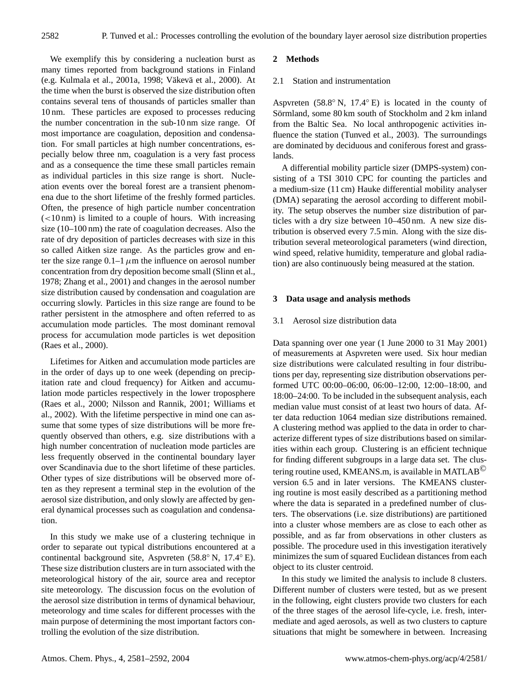We exemplify this by considering a nucleation burst as many times reported from background stations in Finland (e.g. Kulmala et al., 2001a, 1998; Väkevä et al., 2000). At the time when the burst is observed the size distribution often contains several tens of thousands of particles smaller than 10 nm. These particles are exposed to processes reducing the number concentration in the sub-10 nm size range. Of most importance are coagulation, deposition and condensation. For small particles at high number concentrations, especially below three nm, coagulation is a very fast process and as a consequence the time these small particles remain as individual particles in this size range is short. Nucleation events over the boreal forest are a transient phenomena due to the short lifetime of the freshly formed particles. Often, the presence of high particle number concentration  $(<10 \text{ nm})$  is limited to a couple of hours. With increasing size (10–100 nm) the rate of coagulation decreases. Also the rate of dry deposition of particles decreases with size in this so called Aitken size range. As the particles grow and enter the size range  $0.1-1 \mu m$  the influence on aerosol number concentration from dry deposition become small (Slinn et al., 1978; Zhang et al., 2001) and changes in the aerosol number size distribution caused by condensation and coagulation are occurring slowly. Particles in this size range are found to be rather persistent in the atmosphere and often referred to as accumulation mode particles. The most dominant removal process for accumulation mode particles is wet deposition (Raes et al., 2000).

Lifetimes for Aitken and accumulation mode particles are in the order of days up to one week (depending on precipitation rate and cloud frequency) for Aitken and accumulation mode particles respectively in the lower troposphere (Raes et al., 2000; Nilsson and Rannik, 2001; Williams et al., 2002). With the lifetime perspective in mind one can assume that some types of size distributions will be more frequently observed than others, e.g. size distributions with a high number concentration of nucleation mode particles are less frequently observed in the continental boundary layer over Scandinavia due to the short lifetime of these particles. Other types of size distributions will be observed more often as they represent a terminal step in the evolution of the aerosol size distribution, and only slowly are affected by general dynamical processes such as coagulation and condensation.

In this study we make use of a clustering technique in order to separate out typical distributions encountered at a continental background site, Aspvreten (58.8◦ N, 17.4◦ E). These size distribution clusters are in turn associated with the meteorological history of the air, source area and receptor site meteorology. The discussion focus on the evolution of the aerosol size distribution in terms of dynamical behaviour, meteorology and time scales for different processes with the main purpose of determining the most important factors controlling the evolution of the size distribution.

## **2 Methods**

#### 2.1 Station and instrumentation

Aspvreten (58.8◦ N, 17.4◦ E) is located in the county of Sörmland, some 80 km south of Stockholm and 2 km inland from the Baltic Sea. No local anthropogenic activities influence the station (Tunved et al., 2003). The surroundings are dominated by deciduous and coniferous forest and grasslands.

A differential mobility particle sizer (DMPS-system) consisting of a TSI 3010 CPC for counting the particles and a medium-size (11 cm) Hauke differential mobility analyser (DMA) separating the aerosol according to different mobility. The setup observes the number size distribution of particles with a dry size between 10–450 nm. A new size distribution is observed every 7.5 min. Along with the size distribution several meteorological parameters (wind direction, wind speed, relative humidity, temperature and global radiation) are also continuously being measured at the station.

#### **3 Data usage and analysis methods**

#### 3.1 Aerosol size distribution data

Data spanning over one year (1 June 2000 to 31 May 2001) of measurements at Aspvreten were used. Six hour median size distributions were calculated resulting in four distributions per day, representing size distribution observations performed UTC 00:00–06:00, 06:00–12:00, 12:00–18:00, and 18:00–24:00. To be included in the subsequent analysis, each median value must consist of at least two hours of data. After data reduction 1064 median size distributions remained. A clustering method was applied to the data in order to characterize different types of size distributions based on similarities within each group. Clustering is an efficient technique for finding different subgroups in a large data set. The clustering routine used, KMEANS.m, is available in MATLAB<sup> $\odot$ </sup> version 6.5 and in later versions. The KMEANS clustering routine is most easily described as a partitioning method where the data is separated in a predefined number of clusters. The observations (i.e. size distributions) are partitioned into a cluster whose members are as close to each other as possible, and as far from observations in other clusters as possible. The procedure used in this investigation iteratively minimizes the sum of squared Euclidean distances from each object to its cluster centroid.

In this study we limited the analysis to include 8 clusters. Different number of clusters were tested, but as we present in the following, eight clusters provide two clusters for each of the three stages of the aerosol life-cycle, i.e. fresh, intermediate and aged aerosols, as well as two clusters to capture situations that might be somewhere in between. Increasing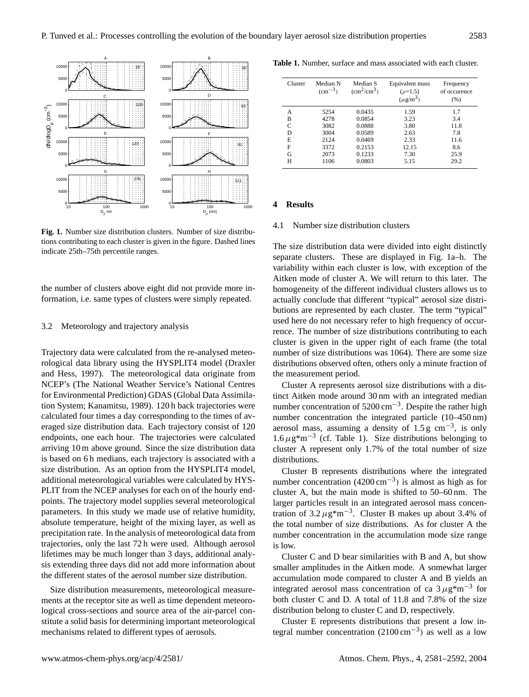

**Fig. 1.** Number size distribution clusters. Number of size distributions contributing to each cluster is given in the figure. Dashed lines indicate 25th–75th percentile ranges.

the number of clusters above eight did not provide more information, i.e. same types of clusters were simply repeated.

#### 3.2 Meteorology and trajectory analysis

Trajectory data were calculated from the re-analysed meteorological data library using the HYSPLIT4 model (Draxler and Hess, 1997). The meteorological data originate from NCEP's (The National Weather Service's National Centres for Environmental Prediction) GDAS (Global Data Assimilation System; Kanamitsu, 1989). 120 h back trajectories were calculated four times a day corresponding to the times of averaged size distribution data. Each trajectory consist of 120 endpoints, one each hour. The trajectories were calculated arriving 10 m above ground. Since the size distribution data is based on 6 h medians, each trajectory is associated with a size distribution. As an option from the HYSPLIT4 model, additional meteorological variables were calculated by HYS-PLIT from the NCEP analyses for each on of the hourly endpoints. The trajectory model supplies several meteorological parameters. In this study we made use of relative humidity, absolute temperature, height of the mixing layer, as well as precipitation rate. In the analysis of meteorological data from trajectories, only the last 72 h were used. Although aerosol lifetimes may be much longer than 3 days, additional analysis extending three days did not add more information about the different states of the aerosol number size distribution.

Size distribution measurements, meteorological measurements at the receptor site as well as time dependent meteorological cross-sections and source area of the air-parcel constitute a solid basis for determining important meteorological mechanisms related to different types of aerosols.

**Table 1.** Number, surface and mass associated with each cluster.

| Cluster | Median N<br>$\rm (cm^{-3})$ | Median S<br>$\text{cm}^2/\text{cm}^3$ ) | Equivalent mass<br>$(\rho=1.5)$<br>$(\mu\text{g/m}^3)$ | Frequency<br>of occurence<br>(% ) |
|---------|-----------------------------|-----------------------------------------|--------------------------------------------------------|-----------------------------------|
| A       | 5254                        | 0.0435                                  | 1.59                                                   | 1.7                               |
| в       | 4278                        | 0.0854                                  | 3.23                                                   | 3.4                               |
|         | 3082                        | 0.0888                                  | 3.80                                                   | 11.8                              |
| D       | 3004                        | 0.0589                                  | 2.63                                                   | 7.8                               |
| E       | 2124                        | 0.0469                                  | 2.33                                                   | 11.6                              |
| F       | 3372                        | 0.2153                                  | 12.15                                                  | 8.6                               |
| G       | 2073                        | 0.1233                                  | 7.30                                                   | 25.9                              |
| н       | 1106                        | 0.0803                                  | 5.15                                                   | 29.2                              |

## **4 Results**

### 4.1 Number size distribution clusters

The size distribution data were divided into eight distinctly separate clusters. These are displayed in Fig. 1a–h. The variability within each cluster is low, with exception of the Aitken mode of cluster A. We will return to this later. The homogeneity of the different individual clusters allows us to actually conclude that different "typical" aerosol size distributions are represented by each cluster. The term "typical" used here do not necessary refer to high frequency of occurrence. The number of size distributions contributing to each cluster is given in the upper right of each frame (the total number of size distributions was 1064). There are some size distributions observed often, others only a minute fraction of the measurement period.

Cluster A represents aerosol size distributions with a distinct Aitken mode around 30 nm with an integrated median number concentration of 5200 cm<sup>-3</sup>. Despite the rather high number concentration the integrated particle (10–450 nm) aerosol mass, assuming a density of  $1.5 \text{ g cm}^{-3}$ , is only 1.6  $\mu$ g\*m<sup>-3</sup> (cf. Table 1). Size distributions belonging to cluster A represent only 1.7% of the total number of size distributions.

Cluster B represents distributions where the integrated number concentration (4200 cm−<sup>3</sup> ) is almost as high as for cluster A, but the main mode is shifted to 50–60 nm. The larger particles result in an integrated aerosol mass concentration of  $3.2 \mu$ g\*m<sup>-3</sup>. Cluster B makes up about 3.4% of the total number of size distributions. As for cluster A the number concentration in the accumulation mode size range is low.

Cluster C and D bear similarities with B and A, but show smaller amplitudes in the Aitken mode. A somewhat larger accumulation mode compared to cluster A and B yields an integrated aerosol mass concentration of ca  $3 \mu$ g\*m<sup>-3</sup> for both cluster C and D. A total of 11.8 and 7.8% of the size distribution belong to cluster C and D, respectively.

Cluster E represents distributions that present a low integral number concentration  $(2100 \text{ cm}^{-3})$  as well as a low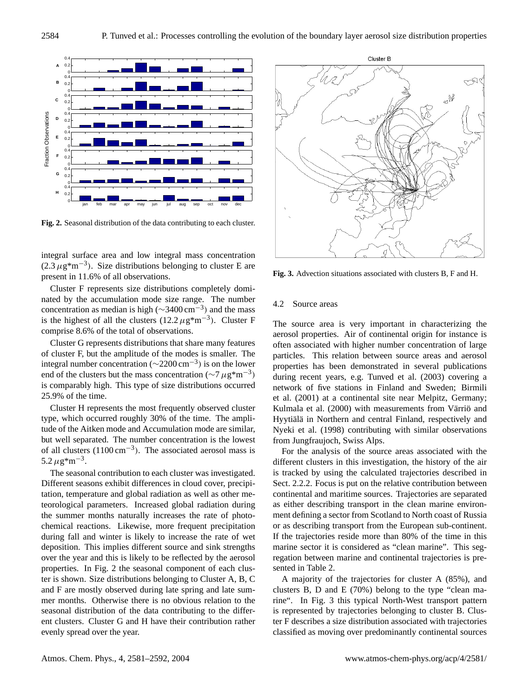

**Fig. 2.** Seasonal distribution of the data contributing to each cluster.

integral surface area and low integral mass concentration  $(2.3 \,\mu\text{g}^*\text{m}^{-3})$ . Size distributions belonging to cluster E are present in 11.6% of all observations.

Cluster F represents size distributions completely dominated by the accumulation mode size range. The number concentration as median is high ( $\sim$ 3400 cm<sup>-3</sup>) and the mass is the highest of all the clusters  $(12.2 \,\mu\text{g}^*\text{m}^{-3})$ . Cluster F comprise 8.6% of the total of observations.

Cluster G represents distributions that share many features of cluster F, but the amplitude of the modes is smaller. The integral number concentration ( $\sim$ 2200 cm<sup>-3</sup>) is on the lower end of the clusters but the mass concentration ( $\sim$ 7 $\mu$ g\*m<sup>-3</sup>) is comparably high. This type of size distributions occurred 25.9% of the time.

Cluster H represents the most frequently observed cluster type, which occurred roughly 30% of the time. The amplitude of the Aitken mode and Accumulation mode are similar, but well separated. The number concentration is the lowest of all clusters  $(1100 \text{ cm}^{-3})$ . The associated aerosol mass is  $5.2 \,\mu\text{g}^*\text{m}^{-3}$ .

The seasonal contribution to each cluster was investigated. Different seasons exhibit differences in cloud cover, precipitation, temperature and global radiation as well as other meteorological parameters. Increased global radiation during the summer months naturally increases the rate of photochemical reactions. Likewise, more frequent precipitation during fall and winter is likely to increase the rate of wet deposition. This implies different source and sink strengths over the year and this is likely to be reflected by the aerosol properties. In Fig. 2 the seasonal component of each cluster is shown. Size distributions belonging to Cluster A, B, C and F are mostly observed during late spring and late summer months. Otherwise there is no obvious relation to the seasonal distribution of the data contributing to the different clusters. Cluster G and H have their contribution rather evenly spread over the year.



**Fig. 3.** Advection situations associated with clusters B, F and H.

#### 4.2 Source areas

The source area is very important in characterizing the aerosol properties. Air of continental origin for instance is often associated with higher number concentration of large particles. This relation between source areas and aerosol properties has been demonstrated in several publications during recent years, e.g. Tunved et al. (2003) covering a network of five stations in Finland and Sweden; Birmili et al. (2001) at a continental site near Melpitz, Germany; Kulmala et al. (2000) with measurements from Värriö and Hyytiälä in Northern and central Finland, respectively and Nyeki et al. (1998) contributing with similar observations from Jungfraujoch, Swiss Alps.

For the analysis of the source areas associated with the different clusters in this investigation, the history of the air is tracked by using the calculated trajectories described in Sect. 2.2.2. Focus is put on the relative contribution between continental and maritime sources. Trajectories are separated as either describing transport in the clean marine environment defining a sector from Scotland to North coast of Russia or as describing transport from the European sub-continent. If the trajectories reside more than 80% of the time in this marine sector it is considered as "clean marine". This segregation between marine and continental trajectories is presented in Table 2.

A majority of the trajectories for cluster A (85%), and clusters B, D and E (70%) belong to the type "clean marine". In Fig. 3 this typical North-West transport pattern is represented by trajectories belonging to cluster B. Cluster F describes a size distribution associated with trajectories classified as moving over predominantly continental sources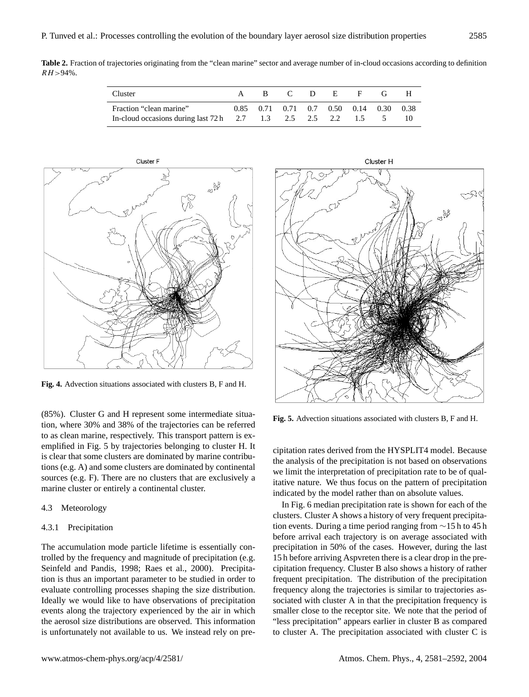**Table 2.** Fraction of trajectories originating from the "clean marine" sector and average number of in-cloud occasions according to definition  $R H > 94\%$ .

| Cluster                                                                                 | R. |  | C D E                                  | - F - | - 63 |  |
|-----------------------------------------------------------------------------------------|----|--|----------------------------------------|-------|------|--|
| Fraction "clean marine"<br>In-cloud occasions during last $72h$ 2.7 1.3 2.5 2.5 2.2 1.5 |    |  | 0.85 0.71 0.71 0.7 0.50 0.14 0.30 0.38 |       |      |  |



**Fig. 4.** Advection situations associated with clusters B, F and H.

(85%). Cluster G and H represent some intermediate situation, where 30% and 38% of the trajectories can be referred to as clean marine, respectively. This transport pattern is exemplified in Fig. 5 by trajectories belonging to cluster H. It is clear that some clusters are dominated by marine contributions (e.g. A) and some clusters are dominated by continental sources (e.g. F). There are no clusters that are exclusively a marine cluster or entirely a continental cluster.

#### 4.3 Meteorology

## 4.3.1 Precipitation

The accumulation mode particle lifetime is essentially controlled by the frequency and magnitude of precipitation (e.g. Seinfeld and Pandis, 1998; Raes et al., 2000). Precipitation is thus an important parameter to be studied in order to evaluate controlling processes shaping the size distribution. Ideally we would like to have observations of precipitation events along the trajectory experienced by the air in which the aerosol size distributions are observed. This information is unfortunately not available to us. We instead rely on pre-



**Fig. 5.** Advection situations associated with clusters B, F and H.

cipitation rates derived from the HYSPLIT4 model. Because the analysis of the precipitation is not based on observations we limit the interpretation of precipitation rate to be of qualitative nature. We thus focus on the pattern of precipitation indicated by the model rather than on absolute values.

In Fig. 6 median precipitation rate is shown for each of the clusters. Cluster A shows a history of very frequent precipitation events. During a time period ranging from ∼15 h to 45 h before arrival each trajectory is on average associated with precipitation in 50% of the cases. However, during the last 15 h before arriving Aspvreten there is a clear drop in the precipitation frequency. Cluster B also shows a history of rather frequent precipitation. The distribution of the precipitation frequency along the trajectories is similar to trajectories associated with cluster A in that the precipitation frequency is smaller close to the receptor site. We note that the period of "less precipitation" appears earlier in cluster B as compared to cluster A. The precipitation associated with cluster C is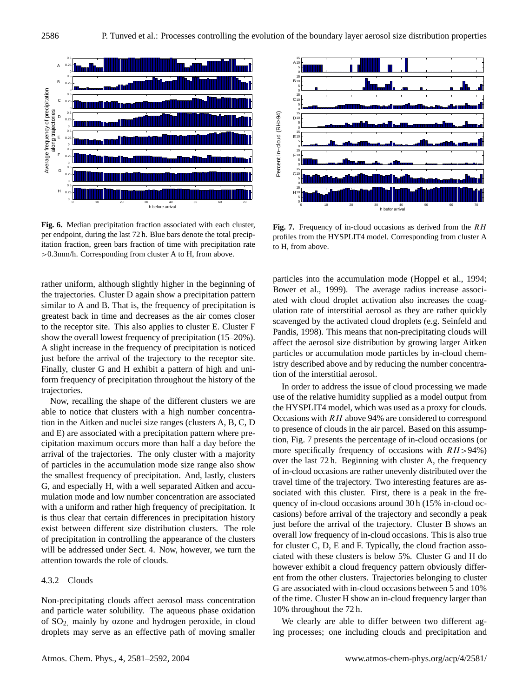

**Fig. 6.** Median precipitation fraction associated with each cluster, per endpoint, during the last 72 h. Blue bars denote the total precipitation fraction, green bars fraction of time with precipitation rate >0.3mm/h. Corresponding from cluster A to H, from above.

rather uniform, although slightly higher in the beginning of the trajectories. Cluster D again show a precipitation pattern similar to A and B. That is, the frequency of precipitation is greatest back in time and decreases as the air comes closer to the receptor site. This also applies to cluster E. Cluster F show the overall lowest frequency of precipitation (15–20%). A slight increase in the frequency of precipitation is noticed just before the arrival of the trajectory to the receptor site. Finally, cluster G and H exhibit a pattern of high and uniform frequency of precipitation throughout the history of the trajectories.

Now, recalling the shape of the different clusters we are able to notice that clusters with a high number concentration in the Aitken and nuclei size ranges (clusters A, B, C, D and E) are associated with a precipitation pattern where precipitation maximum occurs more than half a day before the arrival of the trajectories. The only cluster with a majority of particles in the accumulation mode size range also show the smallest frequency of precipitation. And, lastly, clusters G, and especially H, with a well separated Aitken and accumulation mode and low number concentration are associated with a uniform and rather high frequency of precipitation. It is thus clear that certain differences in precipitation history exist between different size distribution clusters. The role of precipitation in controlling the appearance of the clusters will be addressed under Sect. 4. Now, however, we turn the attention towards the role of clouds.

## 4.3.2 Clouds

Non-precipitating clouds affect aerosol mass concentration and particle water solubility. The aqueous phase oxidation of SO2, mainly by ozone and hydrogen peroxide, in cloud droplets may serve as an effective path of moving smaller



**Fig. 7.** Frequency of in-cloud occasions as derived from the RH profiles from the HYSPLIT4 model. Corresponding from cluster A to H, from above.

particles into the accumulation mode (Hoppel et al., 1994; Bower et al., 1999). The average radius increase associated with cloud droplet activation also increases the coagulation rate of interstitial aerosol as they are rather quickly scavenged by the activated cloud droplets (e.g. Seinfeld and Pandis, 1998). This means that non-precipitating clouds will affect the aerosol size distribution by growing larger Aitken particles or accumulation mode particles by in-cloud chemistry described above and by reducing the number concentration of the interstitial aerosol.

In order to address the issue of cloud processing we made use of the relative humidity supplied as a model output from the HYSPLIT4 model, which was used as a proxy for clouds. Occasions with  $RH$  above 94% are considered to correspond to presence of clouds in the air parcel. Based on this assumption, Fig. 7 presents the percentage of in-cloud occasions (or more specifically frequency of occasions with  $RH > 94\%$ ) over the last 72 h. Beginning with cluster A, the frequency of in-cloud occasions are rather unevenly distributed over the travel time of the trajectory. Two interesting features are associated with this cluster. First, there is a peak in the frequency of in-cloud occasions around 30 h (15% in-cloud occasions) before arrival of the trajectory and secondly a peak just before the arrival of the trajectory. Cluster B shows an overall low frequency of in-cloud occasions. This is also true for cluster C, D, E and F. Typically, the cloud fraction associated with these clusters is below 5%. Cluster G and H do however exhibit a cloud frequency pattern obviously different from the other clusters. Trajectories belonging to cluster G are associated with in-cloud occasions between 5 and 10% of the time. Cluster H show an in-cloud frequency larger than 10% throughout the 72 h.

We clearly are able to differ between two different aging processes; one including clouds and precipitation and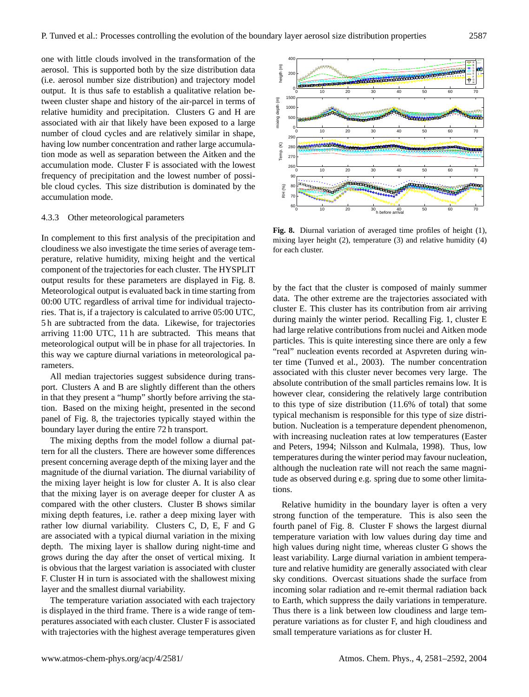one with little clouds involved in the transformation of the aerosol. This is supported both by the size distribution data (i.e. aerosol number size distribution) and trajectory model output. It is thus safe to establish a qualitative relation between cluster shape and history of the air-parcel in terms of relative humidity and precipitation. Clusters G and H are associated with air that likely have been exposed to a large number of cloud cycles and are relatively similar in shape, having low number concentration and rather large accumulation mode as well as separation between the Aitken and the accumulation mode. Cluster F is associated with the lowest frequency of precipitation and the lowest number of possible cloud cycles. This size distribution is dominated by the accumulation mode.

## 4.3.3 Other meteorological parameters

In complement to this first analysis of the precipitation and cloudiness we also investigate the time series of average temperature, relative humidity, mixing height and the vertical component of the trajectories for each cluster. The HYSPLIT output results for these parameters are displayed in Fig. 8. Meteorological output is evaluated back in time starting from 00:00 UTC regardless of arrival time for individual trajectories. That is, if a trajectory is calculated to arrive 05:00 UTC, 5 h are subtracted from the data. Likewise, for trajectories arriving 11:00 UTC, 11 h are subtracted. This means that meteorological output will be in phase for all trajectories. In this way we capture diurnal variations in meteorological parameters.

All median trajectories suggest subsidence during transport. Clusters A and B are slightly different than the others in that they present a "hump" shortly before arriving the station. Based on the mixing height, presented in the second panel of Fig. 8, the trajectories typically stayed within the boundary layer during the entire 72 h transport.

The mixing depths from the model follow a diurnal pattern for all the clusters. There are however some differences present concerning average depth of the mixing layer and the magnitude of the diurnal variation. The diurnal variability of the mixing layer height is low for cluster A. It is also clear that the mixing layer is on average deeper for cluster A as compared with the other clusters. Cluster B shows similar mixing depth features, i.e. rather a deep mixing layer with rather low diurnal variability. Clusters C, D, E, F and G are associated with a typical diurnal variation in the mixing depth. The mixing layer is shallow during night-time and grows during the day after the onset of vertical mixing. It is obvious that the largest variation is associated with cluster F. Cluster H in turn is associated with the shallowest mixing layer and the smallest diurnal variability.

The temperature variation associated with each trajectory is displayed in the third frame. There is a wide range of temperatures associated with each cluster. Cluster F is associated with trajectories with the highest average temperatures given



**Fig. 8.** Diurnal variation of averaged time profiles of height (1), mixing layer height (2), temperature (3) and relative humidity (4) for each cluster.

by the fact that the cluster is composed of mainly summer data. The other extreme are the trajectories associated with cluster E. This cluster has its contribution from air arriving during mainly the winter period. Recalling Fig. 1, cluster E had large relative contributions from nuclei and Aitken mode particles. This is quite interesting since there are only a few "real" nucleation events recorded at Aspvreten during winter time (Tunved et al., 2003). The number concentration associated with this cluster never becomes very large. The absolute contribution of the small particles remains low. It is however clear, considering the relatively large contribution to this type of size distribution (11.6% of total) that some typical mechanism is responsible for this type of size distribution. Nucleation is a temperature dependent phenomenon, with increasing nucleation rates at low temperatures (Easter and Peters, 1994; Nilsson and Kulmala, 1998). Thus, low temperatures during the winter period may favour nucleation, although the nucleation rate will not reach the same magnitude as observed during e.g. spring due to some other limitations.

Relative humidity in the boundary layer is often a very strong function of the temperature. This is also seen the fourth panel of Fig. 8. Cluster F shows the largest diurnal temperature variation with low values during day time and high values during night time, whereas cluster G shows the least variability. Large diurnal variation in ambient temperature and relative humidity are generally associated with clear sky conditions. Overcast situations shade the surface from incoming solar radiation and re-emit thermal radiation back to Earth, which suppress the daily variations in temperature. Thus there is a link between low cloudiness and large temperature variations as for cluster F, and high cloudiness and small temperature variations as for cluster H.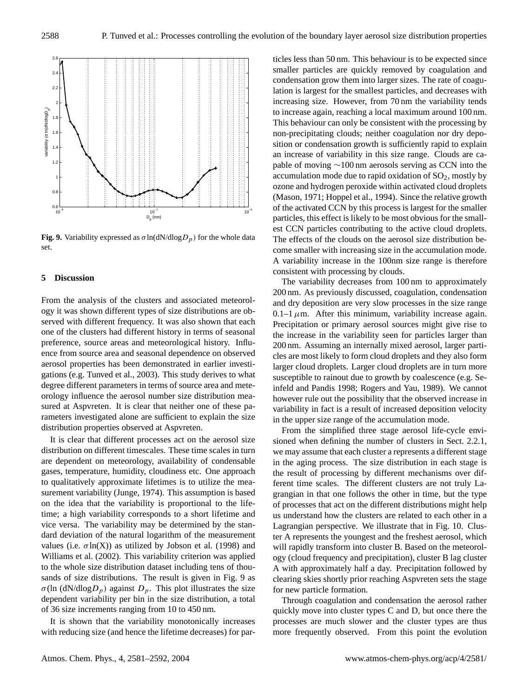

**Fig. 9.** Variability expressed as  $\sigma \ln(dN/dlogD_p)$  for the whole data set.

#### **5 Discussion**

From the analysis of the clusters and associated meteorology it was shown different types of size distributions are observed with different frequency. It was also shown that each one of the clusters had different history in terms of seasonal preference, source areas and meteorological history. Influence from source area and seasonal dependence on observed aerosol properties has been demonstrated in earlier investigations (e.g. Tunved et al., 2003). This study derives to what degree different parameters in terms of source area and meteorology influence the aerosol number size distribution measured at Aspvreten. It is clear that neither one of these parameters investigated alone are sufficient to explain the size distribution properties observed at Aspvreten.

It is clear that different processes act on the aerosol size distribution on different timescales. These time scales in turn are dependent on meteorology, availability of condensable gases, temperature, humidity, cloudiness etc. One approach to qualitatively approximate lifetimes is to utilize the measurement variability (Junge, 1974). This assumption is based on the idea that the variability is proportional to the lifetime; a high variability corresponds to a short lifetime and vice versa. The variability may be determined by the standard deviation of the natural logarithm of the measurement values (i.e.  $\sigma$ ln(X)) as utilized by Jobson et al. (1998) and Williams et al. (2002). This variability criterion was applied to the whole size distribution dataset including tens of thousands of size distributions. The result is given in Fig. 9 as  $\sigma$ (ln (dN/dlog $D_p$ ) against  $D_p$ . This plot illustrates the size dependent variability per bin in the size distribution, a total of 36 size increments ranging from 10 to 450 nm.

It is shown that the variability monotonically increases with reducing size (and hence the lifetime decreases) for particles less than 50 nm. This behaviour is to be expected since smaller particles are quickly removed by coagulation and condensation grow them into larger sizes. The rate of coagulation is largest for the smallest particles, and decreases with increasing size. However, from 70 nm the variability tends to increase again, reaching a local maximum around 100 nm. This behaviour can only be consistent with the processing by non-precipitating clouds; neither coagulation nor dry deposition or condensation growth is sufficiently rapid to explain an increase of variability in this size range. Clouds are capable of moving ∼100 nm aerosols serving as CCN into the accumulation mode due to rapid oxidation of  $SO_2$ , mostly by ozone and hydrogen peroxide within activated cloud droplets (Mason, 1971; Hoppel et al., 1994). Since the relative growth of the activated CCN by this process is largest for the smaller particles, this effect is likely to be most obvious for the smallest CCN particles contributing to the active cloud droplets. The effects of the clouds on the aerosol size distribution become smaller with increasing size in the accumulation mode. A variability increase in the 100nm size range is therefore consistent with processing by clouds.

The variability decreases from 100 nm to approximately 200 nm. As previously discussed, coagulation, condensation and dry deposition are very slow processes in the size range 0.1–1  $\mu$ m. After this minimum, variability increase again. Precipitation or primary aerosol sources might give rise to the increase in the variability seen for particles larger than 200 nm. Assuming an internally mixed aerosol, larger particles are most likely to form cloud droplets and they also form larger cloud droplets. Larger cloud droplets are in turn more susceptible to rainout due to growth by coalescence (e.g. Seinfeld and Pandis 1998; Rogers and Yau, 1989). We cannot however rule out the possibility that the observed increase in variability in fact is a result of increased deposition velocity in the upper size range of the accumulation mode.

From the simplified three stage aerosol life-cycle envisioned when defining the number of clusters in Sect. 2.2.1, we may assume that each cluster a represents a different stage in the aging process. The size distribution in each stage is the result of processing by different mechanisms over different time scales. The different clusters are not truly Lagrangian in that one follows the other in time, but the type of processes that act on the different distributions might help us understand how the clusters are related to each other in a Lagrangian perspective. We illustrate that in Fig. 10. Cluster A represents the youngest and the freshest aerosol, which will rapidly transform into cluster B. Based on the meteorology (cloud frequency and precipitation), cluster B lag cluster A with approximately half a day. Precipitation followed by clearing skies shortly prior reaching Aspvreten sets the stage for new particle formation.

Through coagulation and condensation the aerosol rather quickly move into cluster types C and D, but once there the processes are much slower and the cluster types are thus more frequently observed. From this point the evolution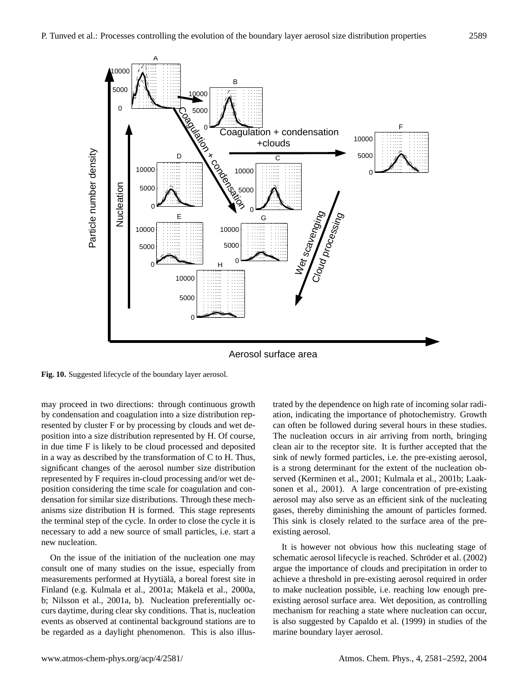

**Fig. 10.** Suggested lifecycle of the boundary layer aerosol.

may proceed in two directions: through continuous growth by condensation and coagulation into a size distribution represented by cluster F or by processing by clouds and wet deposition into a size distribution represented by H. Of course, in due time F is likely to be cloud processed and deposited in a way as described by the transformation of C to H. Thus, significant changes of the aerosol number size distribution represented by F requires in-cloud processing and/or wet deposition considering the time scale for coagulation and condensation for similar size distributions. Through these mechanisms size distribution H is formed. This stage represents the terminal step of the cycle. In order to close the cycle it is necessary to add a new source of small particles, i.e. start a new nucleation.

On the issue of the initiation of the nucleation one may consult one of many studies on the issue, especially from measurements performed at Hyytiälä, a boreal forest site in Finland (e.g. Kulmala et al., 2001a; Mäkelä et al., 2000a, b; Nilsson et al., 2001a, b). Nucleation preferentially occurs daytime, during clear sky conditions. That is, nucleation events as observed at continental background stations are to be regarded as a daylight phenomenon. This is also illustrated by the dependence on high rate of incoming solar radiation, indicating the importance of photochemistry. Growth can often be followed during several hours in these studies. The nucleation occurs in air arriving from north, bringing clean air to the receptor site. It is further accepted that the sink of newly formed particles, i.e. the pre-existing aerosol, is a strong determinant for the extent of the nucleation observed (Kerminen et al., 2001; Kulmala et al., 2001b; Laaksonen et al., 2001). A large concentration of pre-existing aerosol may also serve as an efficient sink of the nucleating gases, thereby diminishing the amount of particles formed. This sink is closely related to the surface area of the preexisting aerosol.

It is however not obvious how this nucleating stage of schematic aerosol lifecycle is reached. Schröder et al. (2002) argue the importance of clouds and precipitation in order to achieve a threshold in pre-existing aerosol required in order to make nucleation possible, i.e. reaching low enough preexisting aerosol surface area. Wet deposition, as controlling mechanism for reaching a state where nucleation can occur, is also suggested by Capaldo et al. (1999) in studies of the marine boundary layer aerosol.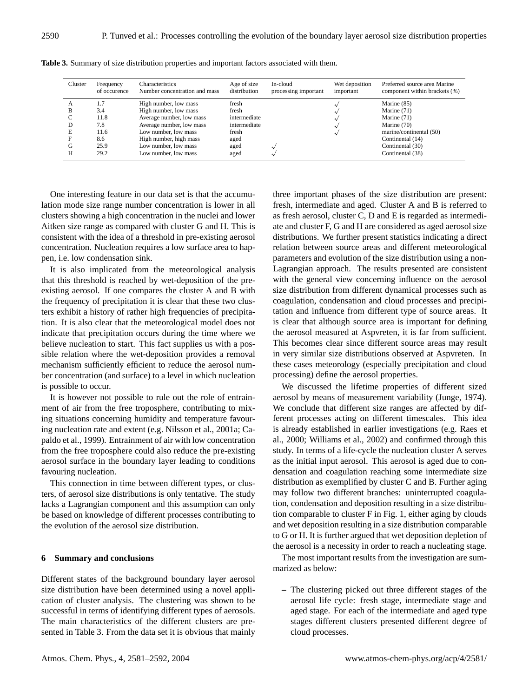| Cluster               | Frequency                                                | Characteristics                                                                                                                                                                                          | Age of size                                                                     | In-cloud             | Wet deposition | Preferred source area Marine                                                                                                                    |
|-----------------------|----------------------------------------------------------|----------------------------------------------------------------------------------------------------------------------------------------------------------------------------------------------------------|---------------------------------------------------------------------------------|----------------------|----------------|-------------------------------------------------------------------------------------------------------------------------------------------------|
|                       | of occurence                                             | Number concentration and mass                                                                                                                                                                            | distribution                                                                    | processing important | important      | component within brackets (%)                                                                                                                   |
| А<br>В<br>E<br>G<br>н | 1.7<br>3.4<br>11.8<br>7.8<br>11.6<br>8.6<br>25.9<br>29.2 | High number, low mass<br>High number, low mass<br>Average number, low mass<br>Average number, low mass<br>Low number, low mass<br>High number, high mass<br>Low number, low mass<br>Low number, low mass | fresh<br>fresh<br>intermediate<br>intermediate<br>fresh<br>aged<br>aged<br>aged |                      |                | Marine (85)<br>Marine (71)<br>Marine (71)<br>Marine (70)<br>marine/continental (50)<br>Continental (14)<br>Continental (30)<br>Continental (38) |

**Table 3.** Summary of size distribution properties and important factors associated with them.

One interesting feature in our data set is that the accumulation mode size range number concentration is lower in all clusters showing a high concentration in the nuclei and lower Aitken size range as compared with cluster G and H. This is consistent with the idea of a threshold in pre-existing aerosol concentration. Nucleation requires a low surface area to happen, i.e. low condensation sink.

It is also implicated from the meteorological analysis that this threshold is reached by wet-deposition of the preexisting aerosol. If one compares the cluster A and B with the frequency of precipitation it is clear that these two clusters exhibit a history of rather high frequencies of precipitation. It is also clear that the meteorological model does not indicate that precipitation occurs during the time where we believe nucleation to start. This fact supplies us with a possible relation where the wet-deposition provides a removal mechanism sufficiently efficient to reduce the aerosol number concentration (and surface) to a level in which nucleation is possible to occur.

It is however not possible to rule out the role of entrainment of air from the free troposphere, contributing to mixing situations concerning humidity and temperature favouring nucleation rate and extent (e.g. Nilsson et al., 2001a; Capaldo et al., 1999). Entrainment of air with low concentration from the free troposphere could also reduce the pre-existing aerosol surface in the boundary layer leading to conditions favouring nucleation.

This connection in time between different types, or clusters, of aerosol size distributions is only tentative. The study lacks a Lagrangian component and this assumption can only be based on knowledge of different processes contributing to the evolution of the aerosol size distribution.

#### **6 Summary and conclusions**

Different states of the background boundary layer aerosol size distribution have been determined using a novel application of cluster analysis. The clustering was shown to be successful in terms of identifying different types of aerosols. The main characteristics of the different clusters are presented in Table 3. From the data set it is obvious that mainly three important phases of the size distribution are present: fresh, intermediate and aged. Cluster A and B is referred to as fresh aerosol, cluster C, D and E is regarded as intermediate and cluster F, G and H are considered as aged aerosol size distributions. We further present statistics indicating a direct relation between source areas and different meteorological parameters and evolution of the size distribution using a non-Lagrangian approach. The results presented are consistent with the general view concerning influence on the aerosol size distribution from different dynamical processes such as coagulation, condensation and cloud processes and precipitation and influence from different type of source areas. It is clear that although source area is important for defining the aerosol measured at Aspvreten, it is far from sufficient. This becomes clear since different source areas may result in very similar size distributions observed at Aspvreten. In these cases meteorology (especially precipitation and cloud processing) define the aerosol properties.

We discussed the lifetime properties of different sized aerosol by means of measurement variability (Junge, 1974). We conclude that different size ranges are affected by different processes acting on different timescales. This idea is already established in earlier investigations (e.g. Raes et al., 2000; Williams et al., 2002) and confirmed through this study. In terms of a life-cycle the nucleation cluster A serves as the initial input aerosol. This aerosol is aged due to condensation and coagulation reaching some intermediate size distribution as exemplified by cluster C and B. Further aging may follow two different branches: uninterrupted coagulation, condensation and deposition resulting in a size distribution comparable to cluster F in Fig. 1, either aging by clouds and wet deposition resulting in a size distribution comparable to G or H. It is further argued that wet deposition depletion of the aerosol is a necessity in order to reach a nucleating stage.

The most important results from the investigation are summarized as below:

**–** The clustering picked out three different stages of the aerosol life cycle: fresh stage, intermediate stage and aged stage. For each of the intermediate and aged type stages different clusters presented different degree of cloud processes.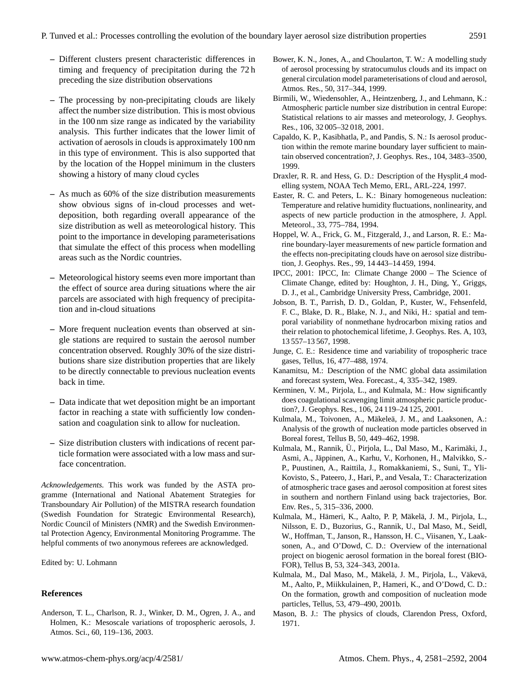- **–** Different clusters present characteristic differences in timing and frequency of precipitation during the 72 h preceding the size distribution observations
- **–** The processing by non-precipitating clouds are likely affect the number size distribution. This is most obvious in the 100 nm size range as indicated by the variability analysis. This further indicates that the lower limit of activation of aerosols in clouds is approximately 100 nm in this type of environment. This is also supported that by the location of the Hoppel minimum in the clusters showing a history of many cloud cycles
- **–** As much as 60% of the size distribution measurements show obvious signs of in-cloud processes and wetdeposition, both regarding overall appearance of the size distribution as well as meteorological history. This point to the importance in developing parameterisations that simulate the effect of this process when modelling areas such as the Nordic countries.
- **–** Meteorological history seems even more important than the effect of source area during situations where the air parcels are associated with high frequency of precipitation and in-cloud situations
- **–** More frequent nucleation events than observed at single stations are required to sustain the aerosol number concentration observed. Roughly 30% of the size distributions share size distribution properties that are likely to be directly connectable to previous nucleation events back in time.
- **–** Data indicate that wet deposition might be an important factor in reaching a state with sufficiently low condensation and coagulation sink to allow for nucleation.
- **–** Size distribution clusters with indications of recent particle formation were associated with a low mass and surface concentration.

*Acknowledgements.* This work was funded by the ASTA programme (International and National Abatement Strategies for Transboundary Air Pollution) of the MISTRA research foundation (Swedish Foundation for Strategic Environmental Research), Nordic Council of Ministers (NMR) and the Swedish Environmental Protection Agency, Environmental Monitoring Programme. The helpful comments of two anonymous referees are acknowledged.

Edited by: U. Lohmann

#### **References**

Anderson, T. L., Charlson, R. J., Winker, D. M., Ogren, J. A., and Holmen, K.: Mesoscale variations of tropospheric aerosols, J. Atmos. Sci., 60, 119–136, 2003.

- Bower, K. N., Jones, A., and Choularton, T. W.: A modelling study of aerosol processing by stratocumulus clouds and its impact on general circulation model parameterisations of cloud and aerosol, Atmos. Res., 50, 317–344, 1999.
- Birmili, W., Wiedensohler, A., Heintzenberg, J., and Lehmann, K.: Atmospheric particle number size distribution in central Europe: Statistical relations to air masses and meteorology, J. Geophys. Res., 106, 32 005–32 018, 2001.
- Capaldo, K. P., Kasibhatla, P., and Pandis, S. N.: Is aerosol production within the remote marine boundary layer sufficient to maintain observed concentration?, J. Geophys. Res., 104, 3483–3500, 1999.
- Draxler, R. R. and Hess, G. D.: Description of the Hysplit 4 modelling system, NOAA Tech Memo, ERL, ARL-224, 1997.
- Easter, R. C. and Peters, L. K.: Binary homogeneous nucleation: Temperature and relative humidity fluctuations, nonlinearity, and aspects of new particle production in the atmosphere, J. Appl. Meteorol., 33, 775–784, 1994.
- Hoppel, W. A., Frick, G. M., Fitzgerald, J., and Larson, R. E.: Marine boundary-layer measurements of new particle formation and the effects non-precipitating clouds have on aerosol size distribution, J. Geophys. Res., 99, 14 443–14 459, 1994.
- IPCC, 2001: IPCC, In: Climate Change 2000 The Science of Climate Change, edited by: Houghton, J. H., Ding, Y., Griggs, D. J., et al., Cambridge University Press, Cambridge, 2001.
- Jobson, B. T., Parrish, D. D., Goldan, P., Kuster, W., Fehsenfeld, F. C., Blake, D. R., Blake, N. J., and Niki, H.: spatial and temporal variability of nonmethane hydrocarbon mixing ratios and their relation to photochemical lifetime, J. Geophys. Res. A, 103, 13 557–13 567, 1998.
- Junge, C. E.: Residence time and variability of tropospheric trace gases, Tellus, 16, 477–488, 1974.
- Kanamitsu, M.: Description of the NMC global data assimilation and forecast system, Wea. Forecast., 4, 335–342, 1989.
- Kerminen, V. M., Pirjola, L., and Kulmala, M.: How significantly does coagulational scavenging limit atmospheric particle production?, J. Geophys. Res., 106, 24 119–24 125, 2001.
- Kulmala, M., Toivonen, A., Mäkeleä, J. M., and Laaksonen, A.: Analysis of the growth of nucleation mode particles observed in Boreal forest, Tellus B, 50, 449–462, 1998.
- Kulmala, M., Rannik, Ü., Pirjola, L., Dal Maso, M., Karimäki, J., Asmi, A., Jappinen, A., Karhu, V., Korhonen, H., Malvikko, S.- ¨ P., Puustinen, A., Raittila, J., Romakkaniemi, S., Suni, T., Yli-Kovisto, S., Pateero, J., Hari, P., and Vesala, T.: Characterization of atmospheric trace gases and aerosol composition at forest sites in southern and northern Finland using back trajectories, Bor. Env. Res., 5, 315–336, 2000.
- Kulmala, M., Hämeri, K., Aalto, P. P, Mäkelä, J. M., Pirjola, L., Nilsson, E. D., Buzorius, G., Rannik, U., Dal Maso, M., Seidl, W., Hoffman, T., Janson, R., Hansson, H. C., Viisanen, Y., Laaksonen, A., and O'Dowd, C. D.: Overview of the international project on biogenic aerosol formation in the boreal forest (BIO-FOR), Tellus B, 53, 324–343, 2001a.
- Kulmala, M., Dal Maso, M., Mäkelä, J. M., Pirjola, L., Väkevä, M., Aalto, P., Miikkulainen, P., Hameri, K., and O'Dowd, C. D.: On the formation, growth and composition of nucleation mode particles, Tellus, 53, 479–490, 2001b.
- Mason, B. J.: The physics of clouds, Clarendon Press, Oxford, 1971.